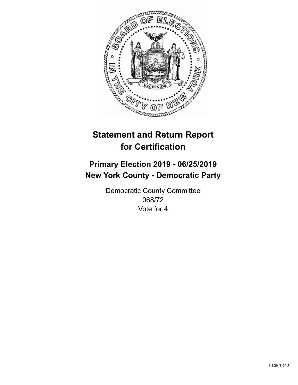

## **Statement and Return Report for Certification**

## **Primary Election 2019 - 06/25/2019 New York County - Democratic Party**

Democratic County Committee 068/72 Vote for 4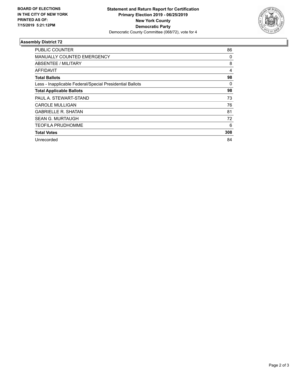

## **Assembly District 72**

| PUBLIC COUNTER                                           | 86  |
|----------------------------------------------------------|-----|
| <b>MANUALLY COUNTED EMERGENCY</b>                        | 0   |
| ABSENTEE / MILITARY                                      | 8   |
| AFFIDAVIT                                                | 4   |
| <b>Total Ballots</b>                                     | 98  |
| Less - Inapplicable Federal/Special Presidential Ballots | 0   |
| <b>Total Applicable Ballots</b>                          | 98  |
| PAUL A. STEWART-STAND                                    | 73  |
| CAROLE MULLIGAN                                          | 76  |
| <b>GABRIELLE R. SHATAN</b>                               | 81  |
| <b>SEAN G. MURTAUGH</b>                                  | 72  |
| <b>TEOFILA PRUDHOMME</b>                                 | 6   |
| <b>Total Votes</b>                                       | 308 |
| Unrecorded                                               | 84  |